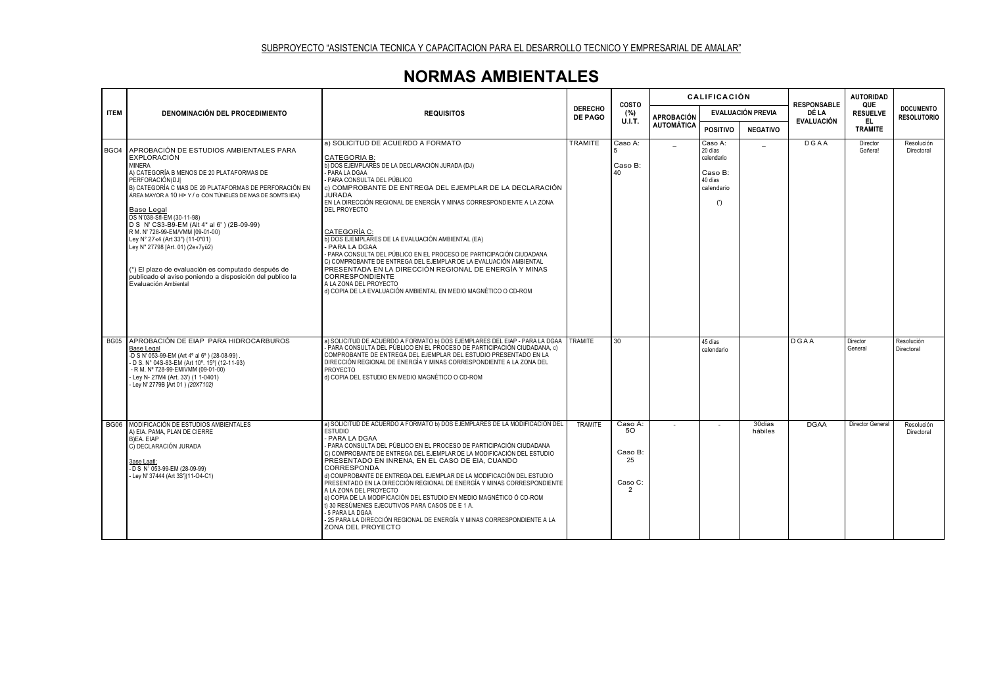## **NORMAS AMBIENTALES**

|  | <b>ITEM</b>      | <b>DENOMINACIÓN DEL PROCEDIMIENTO</b>                                                                                                                                                                                                                                                                                                                                                                                                                                                                                                                                                                         | <b>REQUISITOS</b>                                                                                                                                                                                                                                                                                                                                                                                                                                                                                                                                                                                                                                                                                                                                          | <b>DERECHO</b><br><b>DE PAGO</b> | COSTO<br>(%)<br><b>U.I.T.</b>                               | <b>CALIFICACIÓN</b>                    |                                                                             |                   | <b>RESPONSABLE</b>         | <b>AUTORIDAD</b>              |                                        |
|--|------------------|---------------------------------------------------------------------------------------------------------------------------------------------------------------------------------------------------------------------------------------------------------------------------------------------------------------------------------------------------------------------------------------------------------------------------------------------------------------------------------------------------------------------------------------------------------------------------------------------------------------|------------------------------------------------------------------------------------------------------------------------------------------------------------------------------------------------------------------------------------------------------------------------------------------------------------------------------------------------------------------------------------------------------------------------------------------------------------------------------------------------------------------------------------------------------------------------------------------------------------------------------------------------------------------------------------------------------------------------------------------------------------|----------------------------------|-------------------------------------------------------------|----------------------------------------|-----------------------------------------------------------------------------|-------------------|----------------------------|-------------------------------|----------------------------------------|
|  |                  |                                                                                                                                                                                                                                                                                                                                                                                                                                                                                                                                                                                                               |                                                                                                                                                                                                                                                                                                                                                                                                                                                                                                                                                                                                                                                                                                                                                            |                                  |                                                             | <b>APROBACIÓN</b><br><b>AUTOMÁTICA</b> | <b>EVALUACIÓN PREVIA</b>                                                    |                   | DÉ LA<br><b>EVALUACIÓN</b> | QUE<br><b>RESUELVE</b><br>EL. | <b>DOCUMENTO</b><br><b>RESOLUTORIO</b> |
|  |                  |                                                                                                                                                                                                                                                                                                                                                                                                                                                                                                                                                                                                               |                                                                                                                                                                                                                                                                                                                                                                                                                                                                                                                                                                                                                                                                                                                                                            |                                  |                                                             |                                        | <b>POSITIVO</b>                                                             | <b>NEGATIVO</b>   |                            | <b>TRAMITE</b>                |                                        |
|  | BGO <sub>4</sub> | APROBACIÓN DE ESTUDIOS AMBIENTALES PARA<br>EXPLORACIÓN<br><b>MINERA</b><br>A) CATEGORÍA B MENOS DE 20 PLATAFORMAS DE<br>PERFORACIÓN(DJI<br>B) CATEGORÍA C MAS DE 20 PLATAFORMAS DE PERFORACIÓN EN<br>ÁREA MAYOR A 10 H> Y / O CON TÚNELES DE MAS DE SOMTS IEA)<br>Base Legal<br>DS N'038-Sfl-EM (30-11-98)<br>D S N' CS3-B9-EM (Alt 4* al 6') (2B-09-99)<br>R M. N' 728-99-EM/VMM [09-01-00)<br>Ley N° 27«4 (Art 33") (11-0*01)<br>Ley N" 27798 [Art. 01) (2e«7yü2)<br>(*) El plazo de evaluación es computado después de<br>publicado el aviso poniendo a disposición del publico la<br>Evaluación Ambiental | a) SOLICITUD DE ACUERDO A FORMATO<br><b>CATEGORIA B:</b><br>b) DOS EJEMPLARES DE LA DECLARACIÓN JURADA (DJ)<br>PARA LA DGAA<br>PARA CONSULTA DEL PÚBLICO<br>c) COMPROBANTE DE ENTREGA DEL EJEMPLAR DE LA DECLARACIÓN<br><b>JURADA</b><br>EN LA DIRECCIÓN REGIONAL DE ENERGÍA Y MINAS CORRESPONDIENTE A LA ZONA<br>DEL PROYECTO<br>CATEGORÍA C:<br>b) DOS EJEMPLARES DE LA EVALUACIÓN AMBIENTAL (EA)<br><b>PARA LA DGAA</b><br>- PARA CONSULTA DEL PÚBLICO EN EL PROCESO DE PARTICIPACIÓN CIUDADANA<br>C) COMPROBANTE DE ENTREGA DEL EJEMPLAR DE LA EVALUACIÓN AMBIENTAL<br>PRESENTADA EN LA DIRECCIÓN REGIONAL DE ENERGÍA Y MINAS<br><b>CORRESPONDIENTE</b><br>A LA ZONA DEL PROYECTO<br>d) COPIA DE LA EVALUACIÓN AMBIENTAL EN MEDIO MAGNÉTICO O CD-ROM   | <b>TRAMITE</b>                   | Caso A:<br>Caso B:<br>40                                    |                                        | Caso A:<br>20 días<br>calendario<br>Caso B:<br>40 días<br>calendario<br>(') |                   | DGAA                       | Director<br>Gañera!           | Resolución<br>Directoral               |
|  |                  | <b>BG05 APROBACIÓN DE EIAP PARA HIDROCARBUROS</b><br><b>Base Legal</b><br>-D S N' 053-99-EM (Art 4° al 6°) (28-08-99).<br>- D S. N° 04S-83-EM (Art 10°, 15°) (12-11-93)<br>- R M. Nº 728-99-EMIVMM (09-01-00)<br>- Ley N- 27M4 (Art. 33') (1 1-0401)<br>- Ley N' 2779B [Art 01) (20X7102)                                                                                                                                                                                                                                                                                                                     | a) SOLICITUD DE ACUERDO A FORMATO b) DOS EJEMPLARES DEL EIAP - PARA LA DGAA<br>PARA CONSULTA DEL PÚBLICO EN EL PROCESO DE PARTICIPACIÓN CIUDADANA, c)<br>COMPROBANTE DE ENTREGA DEL EJEMPLAR DEL ESTUDIO PRESENTADO EN LA<br>DIRECCIÓN REGIONAL DE ENERGÍA Y MINAS CORRESPONDIENTE A LA ZONA DEL<br>PROYECTO<br>d) COPIA DEL ESTUDIO EN MEDIO MAGNÉTICO O CD-ROM                                                                                                                                                                                                                                                                                                                                                                                           | <b>TRAMITE</b>                   | 30                                                          |                                        | 45 días<br>calendario                                                       |                   | <b>DGAA</b>                | Director<br>General           | Resolución<br>Directoral               |
|  | <b>BG06</b>      | MODIFICACIÓN DE ESTUDIOS AMBIENTALES<br>A) EIA, PAMA, PLAN DE CIERRE<br>B)EA, EIAP<br>C) DECLARACIÓN JURADA<br>3ase Laatl:<br>- D S N <sup>1</sup> 053-99-EM (28-09-99)<br>- Ley N' 37444 (Art 3S'](11-O4-C1)                                                                                                                                                                                                                                                                                                                                                                                                 | a) SOLICITUD DE ACUERDO A FORMATO b) DOS EJEMPLARES DE LA MODIFICACIÓN DEL<br><b>ESTUDIO</b><br>PARA LA DGAA<br>- PARA CONSULTA DEL PÚBLICO EN EL PROCESO DE PARTICIPACIÓN CIUDADANA<br>C) COMPROBANTE DE ENTREGA DEL EJEMPLAR DE LA MODIFICACIÓN DEL ESTUDIO<br>PRESENTADO EN INRENA, EN EL CASO DE EIA, CUANDO<br>CORRESPONDA<br>d) COMPROBANTE DE ENTREGA DEL EJEMPLAR DE LA MODIFICACIÓN DEL ESTUDIO<br>PRESENTADO EN LA DIRECCIÓN REGIONAL DE ENERGÍA Y MINAS CORRESPONDIENTE<br>A LA ZONA DEL PROYECTO<br>e) COPIA DE LA MODIFICACIÓN DEL ESTUDIO EN MEDIO MAGNÉTICO Ó CD-ROM<br>t) 30 RESÚMENES EJECUTIVOS PARA CASOS DE E 1 A.<br>- 5 PARA LA DGAA<br>- 25 PARA LA DIRECCIÓN REGIONAL DE ENERGÍA Y MINAS CORRESPONDIENTE A LA<br>ZONA DEL PROYECTO | TRAMITE                          | Caso A:<br>50<br>Caso B:<br>25<br>Caso C:<br>$\overline{2}$ |                                        | $\overline{\phantom{a}}$                                                    | 30dias<br>hábiles | <b>DGAA</b>                | Director General              | Resolución<br>Directoral               |